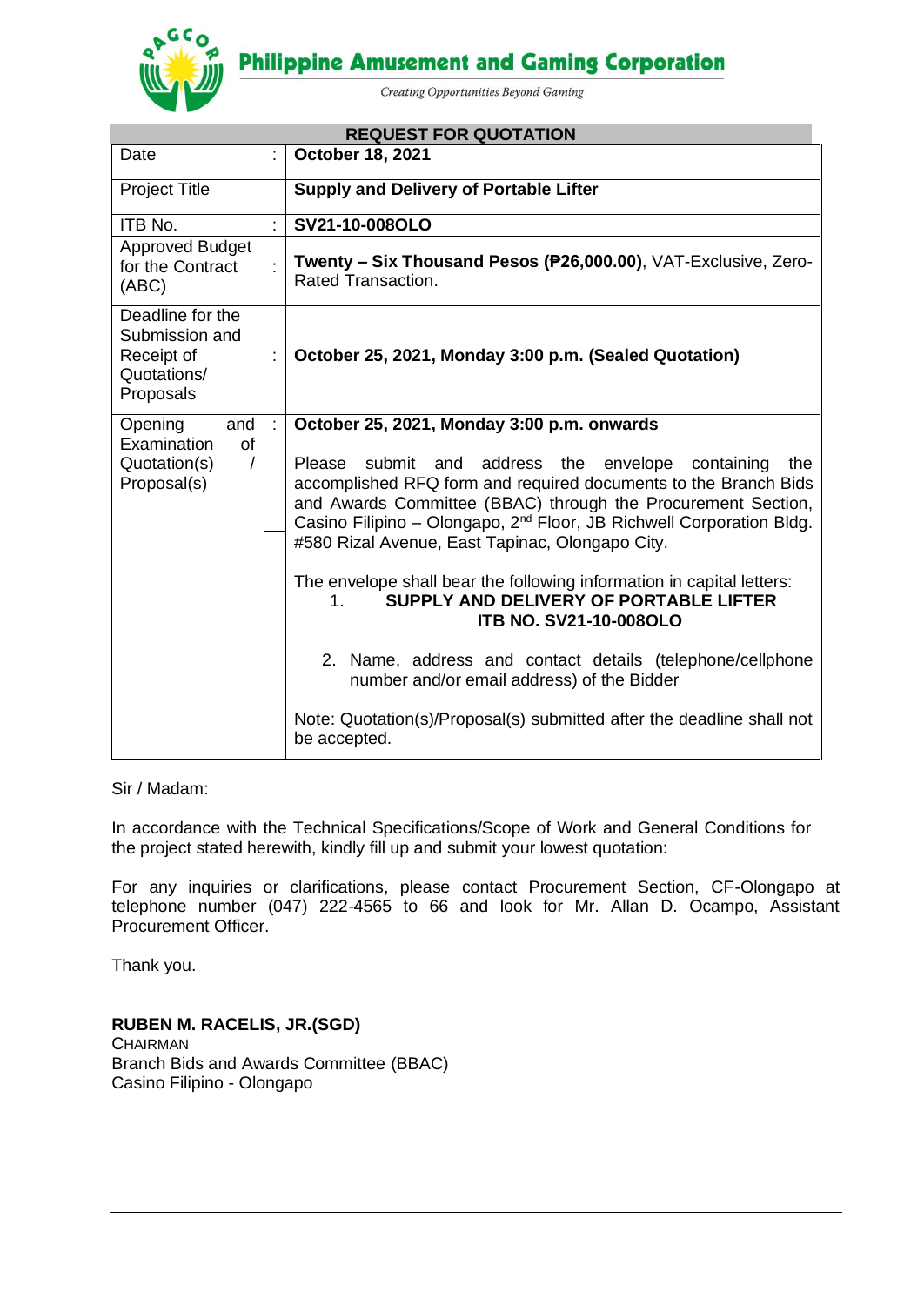**Philippine Amusement and Gaming Corporation** 



Creating Opportunities Beyond Gaming

| <b>REQUEST FOR QUOTATION</b>                                                 |   |                                                                                                                                                                                                                                                                                                                                             |  |  |
|------------------------------------------------------------------------------|---|---------------------------------------------------------------------------------------------------------------------------------------------------------------------------------------------------------------------------------------------------------------------------------------------------------------------------------------------|--|--|
| Date                                                                         |   | October 18, 2021                                                                                                                                                                                                                                                                                                                            |  |  |
| <b>Project Title</b>                                                         |   | <b>Supply and Delivery of Portable Lifter</b>                                                                                                                                                                                                                                                                                               |  |  |
| ITB No.                                                                      |   | SV21-10-008OLO                                                                                                                                                                                                                                                                                                                              |  |  |
| <b>Approved Budget</b><br>for the Contract<br>(ABC)                          |   | Twenty - Six Thousand Pesos (P26,000.00), VAT-Exclusive, Zero-<br>Rated Transaction.                                                                                                                                                                                                                                                        |  |  |
| Deadline for the<br>Submission and<br>Receipt of<br>Quotations/<br>Proposals |   | October 25, 2021, Monday 3:00 p.m. (Sealed Quotation)                                                                                                                                                                                                                                                                                       |  |  |
| and<br>Opening                                                               | t | October 25, 2021, Monday 3:00 p.m. onwards                                                                                                                                                                                                                                                                                                  |  |  |
| Examination<br><b>of</b><br>Quotation(s)<br>$\prime$<br>Proposal(s)          |   | submit and address the<br>Please<br>envelope<br>containing<br>the<br>accomplished RFQ form and required documents to the Branch Bids<br>and Awards Committee (BBAC) through the Procurement Section,<br>Casino Filipino - Olongapo, 2 <sup>nd</sup> Floor, JB Richwell Corporation Bldg.<br>#580 Rizal Avenue, East Tapinac, Olongapo City. |  |  |
|                                                                              |   | The envelope shall bear the following information in capital letters:<br>SUPPLY AND DELIVERY OF PORTABLE LIFTER<br>$1_{-}$<br><b>ITB NO. SV21-10-008OLO</b><br>2. Name, address and contact details (telephone/cellphone                                                                                                                    |  |  |
|                                                                              |   | number and/or email address) of the Bidder                                                                                                                                                                                                                                                                                                  |  |  |
|                                                                              |   | Note: Quotation(s)/Proposal(s) submitted after the deadline shall not<br>be accepted.                                                                                                                                                                                                                                                       |  |  |

### Sir / Madam:

In accordance with the Technical Specifications/Scope of Work and General Conditions for the project stated herewith, kindly fill up and submit your lowest quotation:

For any inquiries or clarifications, please contact Procurement Section, CF-Olongapo at telephone number (047) 222-4565 to 66 and look for Mr. Allan D. Ocampo, Assistant Procurement Officer.

Thank you.

**RUBEN M. RACELIS, JR.(SGD) CHAIRMAN** Branch Bids and Awards Committee (BBAC) Casino Filipino - Olongapo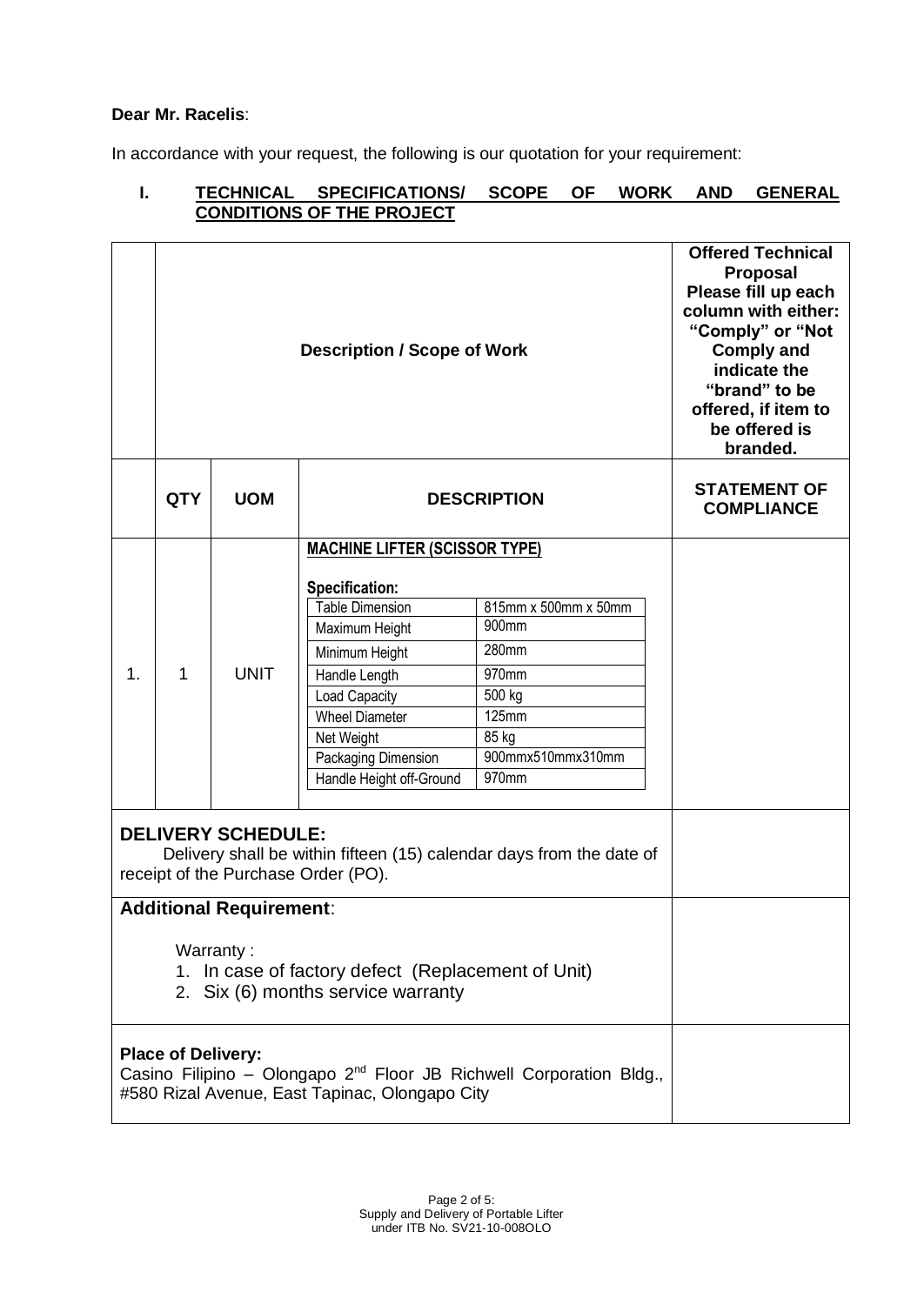## **Dear Mr. Racelis**:

In accordance with your request, the following is our quotation for your requirement:

## **I. TECHNICAL SPECIFICATIONS/ SCOPE OF WORK AND GENERAL CONDITIONS OF THE PROJECT**

|                                                                                                                                          | <b>Description / Scope of Work</b>             |             |                                                                                                                                                                                                                                                  |                                                                                                           | <b>Offered Technical</b><br><b>Proposal</b><br>Please fill up each<br>column with either:<br>"Comply" or "Not<br><b>Comply and</b><br>indicate the<br>"brand" to be<br>offered, if item to<br>be offered is<br>branded. |
|------------------------------------------------------------------------------------------------------------------------------------------|------------------------------------------------|-------------|--------------------------------------------------------------------------------------------------------------------------------------------------------------------------------------------------------------------------------------------------|-----------------------------------------------------------------------------------------------------------|-------------------------------------------------------------------------------------------------------------------------------------------------------------------------------------------------------------------------|
|                                                                                                                                          | <b>QTY</b><br><b>UOM</b><br><b>DESCRIPTION</b> |             |                                                                                                                                                                                                                                                  | <b>STATEMENT OF</b><br><b>COMPLIANCE</b>                                                                  |                                                                                                                                                                                                                         |
| $\mathbf 1$ .                                                                                                                            | 1                                              | <b>UNIT</b> | <b>MACHINE LIFTER (SCISSOR TYPE)</b><br>Specification:<br><b>Table Dimension</b><br>Maximum Height<br>Minimum Height<br>Handle Length<br>Load Capacity<br><b>Wheel Diameter</b><br>Net Weight<br>Packaging Dimension<br>Handle Height off-Ground | 815mm x 500mm x 50mm<br>900mm<br>280mm<br>970mm<br>500 kg<br>125mm<br>85 kg<br>900mmx510mmx310mm<br>970mm |                                                                                                                                                                                                                         |
| <b>DELIVERY SCHEDULE:</b><br>Delivery shall be within fifteen (15) calendar days from the date of<br>receipt of the Purchase Order (PO). |                                                |             |                                                                                                                                                                                                                                                  |                                                                                                           |                                                                                                                                                                                                                         |
| <b>Additional Requirement:</b><br>Warranty:<br>1. In case of factory defect (Replacement of Unit)<br>2. Six (6) months service warranty  |                                                |             |                                                                                                                                                                                                                                                  |                                                                                                           |                                                                                                                                                                                                                         |
|                                                                                                                                          | <b>Place of Delivery:</b>                      |             | #580 Rizal Avenue, East Tapinac, Olongapo City                                                                                                                                                                                                   | Casino Filipino - Olongapo 2 <sup>nd</sup> Floor JB Richwell Corporation Bldg.,                           |                                                                                                                                                                                                                         |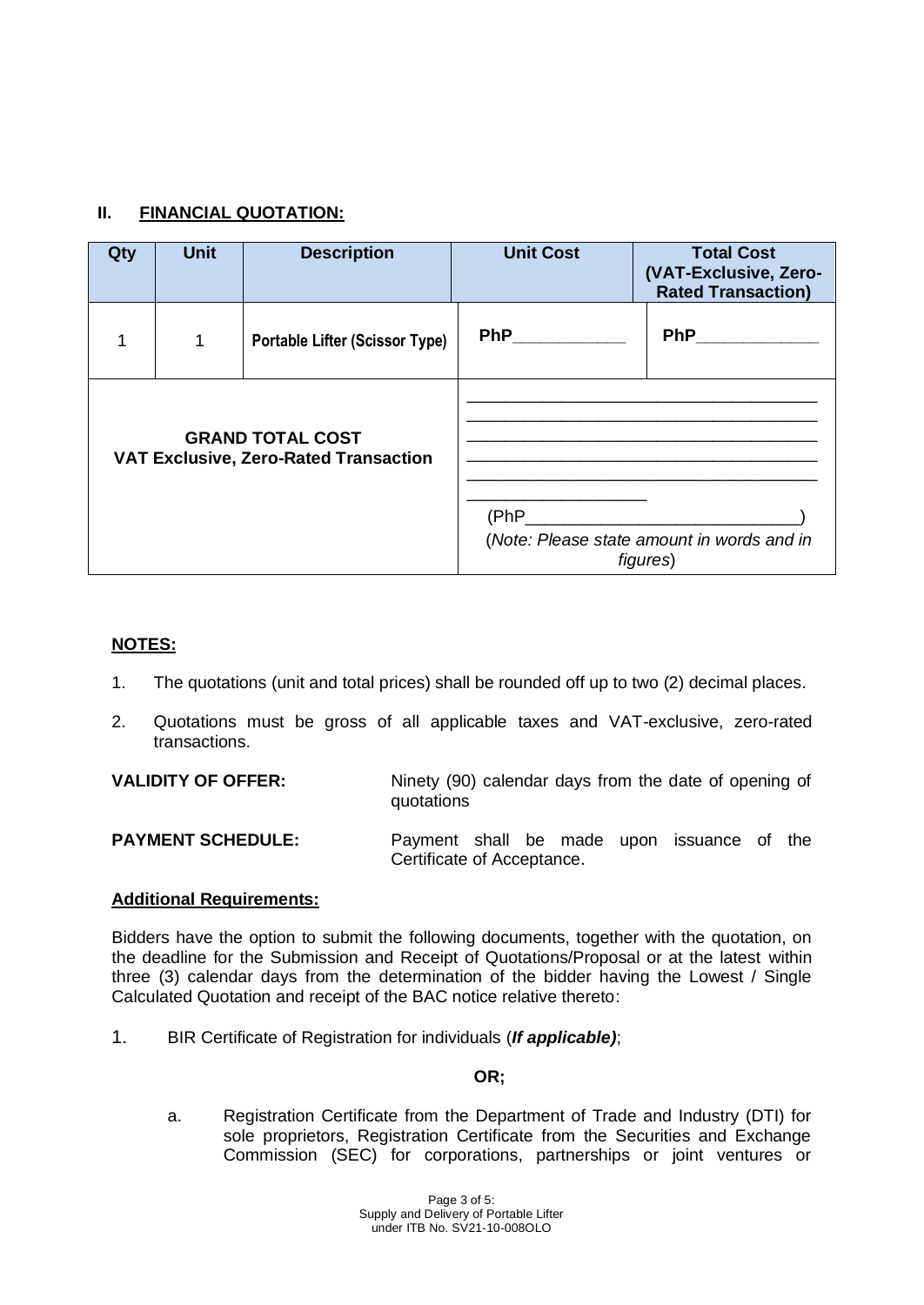# **II. FINANCIAL QUOTATION:**

| Qty                                                                     | <b>Unit</b>  | <b>Description</b>                    | <b>Unit Cost</b> | <b>Total Cost</b><br>(VAT-Exclusive, Zero-<br><b>Rated Transaction)</b> |
|-------------------------------------------------------------------------|--------------|---------------------------------------|------------------|-------------------------------------------------------------------------|
| 1                                                                       | $\mathbf{1}$ | <b>Portable Lifter (Scissor Type)</b> | <b>PhP</b>       | <b>PhP</b>                                                              |
| <b>GRAND TOTAL COST</b><br><b>VAT Exclusive, Zero-Rated Transaction</b> |              |                                       |                  | (Note: Please state amount in words and in<br>figures)                  |

### **NOTES:**

- 1. The quotations (unit and total prices) shall be rounded off up to two (2) decimal places.
- 2. Quotations must be gross of all applicable taxes and VAT-exclusive, zero-rated transactions.

**VALIDITY OF OFFER:** Ninety (90) calendar days from the date of opening of quotations

**PAYMENT SCHEDULE:** Payment shall be made upon issuance of the Certificate of Acceptance.

### **Additional Requirements:**

Bidders have the option to submit the following documents, together with the quotation, on the deadline for the Submission and Receipt of Quotations/Proposal or at the latest within three (3) calendar days from the determination of the bidder having the Lowest / Single Calculated Quotation and receipt of the BAC notice relative thereto:

1. BIR Certificate of Registration for individuals (*If applicable)*;

## **OR;**

a. Registration Certificate from the Department of Trade and Industry (DTI) for sole proprietors, Registration Certificate from the Securities and Exchange Commission (SEC) for corporations, partnerships or joint ventures or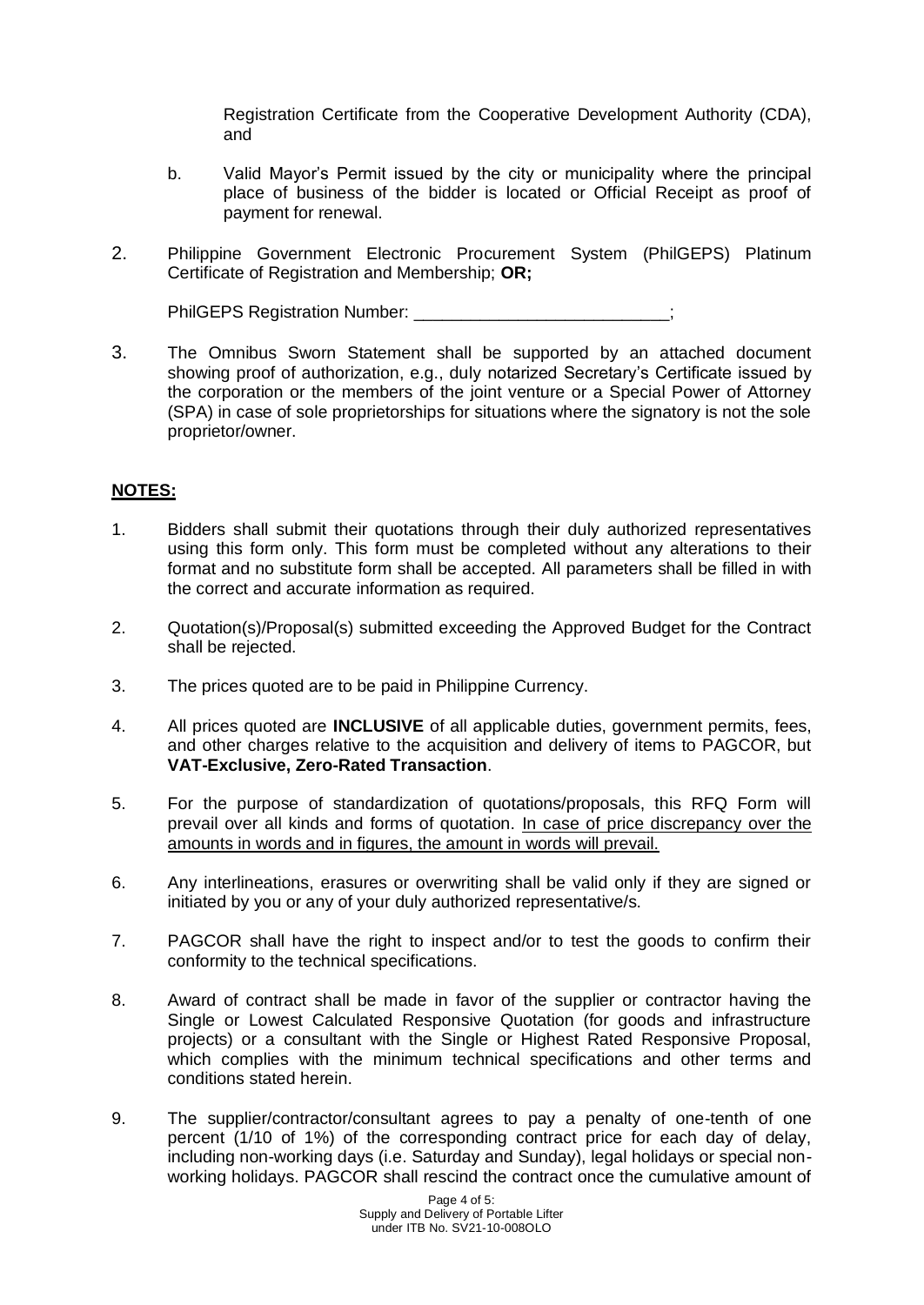Registration Certificate from the Cooperative Development Authority (CDA), and

- b. Valid Mayor's Permit issued by the city or municipality where the principal place of business of the bidder is located or Official Receipt as proof of payment for renewal.
- 2. Philippine Government Electronic Procurement System (PhilGEPS) Platinum Certificate of Registration and Membership; **OR;**

PhilGEPS Registration Number:

3. The Omnibus Sworn Statement shall be supported by an attached document showing proof of authorization, e.g., duly notarized Secretary's Certificate issued by the corporation or the members of the joint venture or a Special Power of Attorney (SPA) in case of sole proprietorships for situations where the signatory is not the sole proprietor/owner.

## **NOTES:**

- 1. Bidders shall submit their quotations through their duly authorized representatives using this form only. This form must be completed without any alterations to their format and no substitute form shall be accepted. All parameters shall be filled in with the correct and accurate information as required.
- 2. Quotation(s)/Proposal(s) submitted exceeding the Approved Budget for the Contract shall be rejected.
- 3. The prices quoted are to be paid in Philippine Currency.
- 4. All prices quoted are **INCLUSIVE** of all applicable duties, government permits, fees, and other charges relative to the acquisition and delivery of items to PAGCOR, but **VAT-Exclusive, Zero-Rated Transaction**.
- 5. For the purpose of standardization of quotations/proposals, this RFQ Form will prevail over all kinds and forms of quotation. In case of price discrepancy over the amounts in words and in figures, the amount in words will prevail.
- 6. Any interlineations, erasures or overwriting shall be valid only if they are signed or initiated by you or any of your duly authorized representative/s.
- 7. PAGCOR shall have the right to inspect and/or to test the goods to confirm their conformity to the technical specifications.
- 8. Award of contract shall be made in favor of the supplier or contractor having the Single or Lowest Calculated Responsive Quotation (for goods and infrastructure projects) or a consultant with the Single or Highest Rated Responsive Proposal, which complies with the minimum technical specifications and other terms and conditions stated herein.
- 9. The supplier/contractor/consultant agrees to pay a penalty of one-tenth of one percent (1/10 of 1%) of the corresponding contract price for each day of delay, including non-working days (i.e. Saturday and Sunday), legal holidays or special nonworking holidays. PAGCOR shall rescind the contract once the cumulative amount of